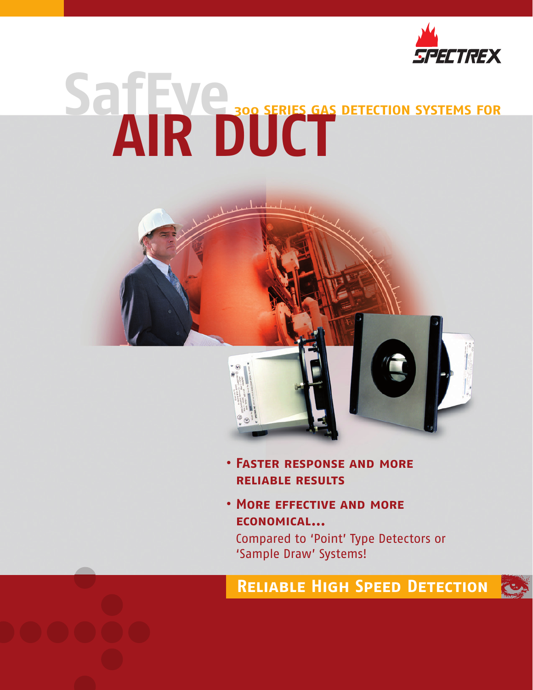

# **SafEye300 SERIES GAS DETECTION SYSTEMS FOR AIR DUCT**



- **• Faster response and more reliable results**
- **• More effective and more economical...**

Compared to 'Point' Type Detectors or 'Sample Draw' Systems!

# **Reliable High Speed Detection**

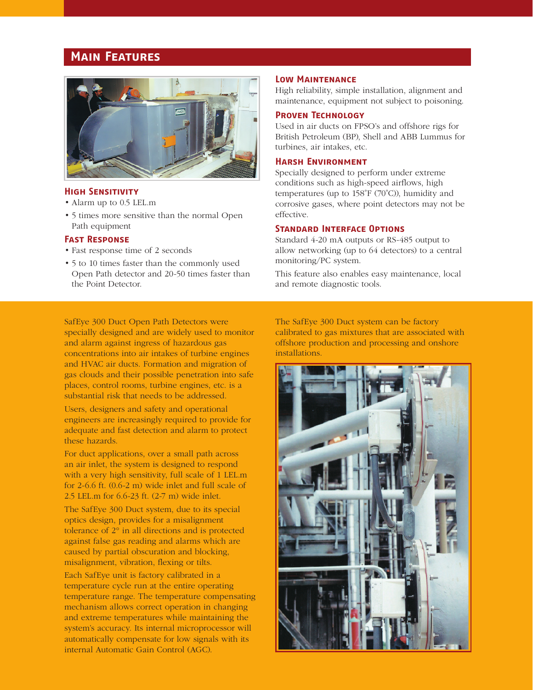# **Main Features**



# **High Sensitivity**

- Alarm up to 0.5 LEL.m
- 5 times more sensitive than the normal Open Path equipment

# **Fast Response**

- Fast response time of 2 seconds
- 5 to 10 times faster than the commonly used Open Path detector and 20-50 times faster than the Point Detector.

### **Low Maintenance**

High reliability, simple installation, alignment and maintenance, equipment not subject to poisoning.

# **Proven Technology**

Used in air ducts on FPSO's and offshore rigs for British Petroleum (BP), Shell and ABB Lummus for turbines, air intakes, etc.

### **Harsh Environment**

Specially designed to perform under extreme conditions such as high-speed airflows, high temperatures (up to 158˚F (70˚C)), humidity and corrosive gases, where point detectors may not be effective.

### **Standard Interface Options**

Standard 4-20 mA outputs or RS-485 output to allow networking (up to 64 detectors) to a central monitoring/PC system.

This feature also enables easy maintenance, local and remote diagnostic tools.

SafEye 300 Duct Open Path Detectors were specially designed and are widely used to monitor and alarm against ingress of hazardous gas concentrations into air intakes of turbine engines and HVAC air ducts. Formation and migration of gas clouds and their possible penetration into safe places, control rooms, turbine engines, etc. is a substantial risk that needs to be addressed.

Users, designers and safety and operational engineers are increasingly required to provide for adequate and fast detection and alarm to protect these hazards.

For duct applications, over a small path across an air inlet, the system is designed to respond with a very high sensitivity, full scale of 1 LEL.m for 2-6.6 ft. (0.6-2 m) wide inlet and full scale of 2.5 LEL.m for 6.6-23 ft. (2-7 m) wide inlet.

The SafEye 300 Duct system, due to its special optics design, provides for a misalignment tolerance of 2° in all directions and is protected against false gas reading and alarms which are caused by partial obscuration and blocking, misalignment, vibration, flexing or tilts.

Each SafEye unit is factory calibrated in a temperature cycle run at the entire operating temperature range. The temperature compensating mechanism allows correct operation in changing and extreme temperatures while maintaining the system's accuracy. Its internal microprocessor will automatically compensate for low signals with its internal Automatic Gain Control (AGC).

The SafEye 300 Duct system can be factory calibrated to gas mixtures that are associated with offshore production and processing and onshore installations.

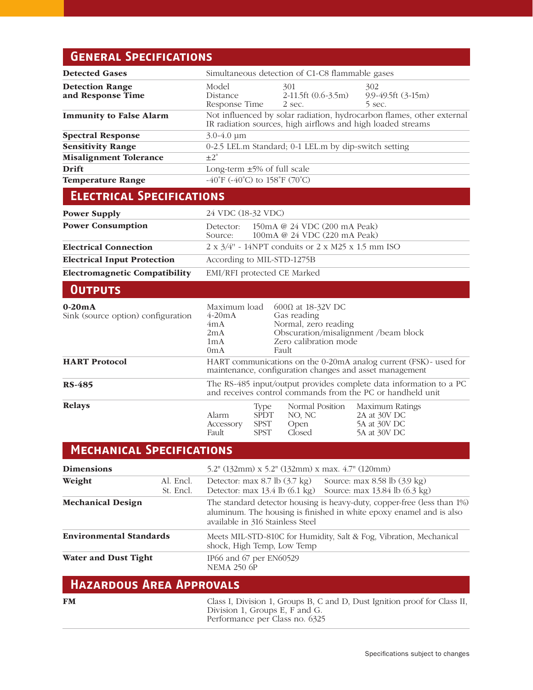# **General Specifications**

| <b>Detected Gases</b>                          | Simultaneous detection of C1-C8 flammable gases                                                                                      |                                                          |                                                                                                                                      |                                                                 |
|------------------------------------------------|--------------------------------------------------------------------------------------------------------------------------------------|----------------------------------------------------------|--------------------------------------------------------------------------------------------------------------------------------------|-----------------------------------------------------------------|
| <b>Detection Range</b><br>and Response Time    | Model<br>Distance<br>Response Time                                                                                                   |                                                          | 301<br>2-11.5ft (0.6-3.5m)<br>2 sec.                                                                                                 | 302<br>9.9-49.5ft (3-15m)<br>5 sec.                             |
| <b>Immunity to False Alarm</b>                 | Not influenced by solar radiation, hydrocarbon flames, other external<br>IR radiation sources, high airflows and high loaded streams |                                                          |                                                                                                                                      |                                                                 |
| <b>Spectral Response</b>                       | $3.0 - 4.0 \mu m$                                                                                                                    |                                                          |                                                                                                                                      |                                                                 |
| <b>Sensitivity Range</b>                       | 0-2.5 LEL.m Standard; 0-1 LEL.m by dip-switch setting                                                                                |                                                          |                                                                                                                                      |                                                                 |
| <b>Misalignment Tolerance</b>                  | $\pm 2^{\circ}$                                                                                                                      |                                                          |                                                                                                                                      |                                                                 |
| <b>Drift</b>                                   | Long-term $\pm 5\%$ of full scale                                                                                                    |                                                          |                                                                                                                                      |                                                                 |
| <b>Temperature Range</b>                       | -40°F (-40°C) to 158°F (70°C)                                                                                                        |                                                          |                                                                                                                                      |                                                                 |
| <b>ELECTRICAL SPECIFICATIONS</b>               |                                                                                                                                      |                                                          |                                                                                                                                      |                                                                 |
| <b>Power Supply</b>                            | 24 VDC (18-32 VDC)                                                                                                                   |                                                          |                                                                                                                                      |                                                                 |
| <b>Power Consumption</b>                       | Detector:<br>Source:                                                                                                                 |                                                          | 150mA @ 24 VDC (200 mA Peak)<br>100mA @ 24 VDC (220 mA Peak)                                                                         |                                                                 |
| <b>Electrical Connection</b>                   | $2 \times 3/4$ " - 14NPT conduits or $2 \times M25 \times 1.5$ mm ISO                                                                |                                                          |                                                                                                                                      |                                                                 |
| <b>Electrical Input Protection</b>             | According to MIL-STD-1275B                                                                                                           |                                                          |                                                                                                                                      |                                                                 |
| <b>Electromagnetic Compatibility</b>           | EMI/RFI protected CE Marked                                                                                                          |                                                          |                                                                                                                                      |                                                                 |
| <b>OUTPUTS</b>                                 |                                                                                                                                      |                                                          |                                                                                                                                      |                                                                 |
| $0-20mA$<br>Sink (source option) configuration | Maximum load<br>$4-20mA$<br>4mA<br>2mA<br>1 <sub>m</sub> A<br>0 <sub>mA</sub>                                                        |                                                          | $600Ω$ at 18-32V DC<br>Gas reading<br>Normal, zero reading<br>Obscuration/misalignment /beam block<br>Zero calibration mode<br>Fault |                                                                 |
| <b>HART Protocol</b>                           | HART communications on the 0-20mA analog current (FSK) - used for<br>maintenance, configuration changes and asset management         |                                                          |                                                                                                                                      |                                                                 |
| <b>RS-485</b>                                  | The RS-485 input/output provides complete data information to a PC<br>and receives control commands from the PC or handheld unit     |                                                          |                                                                                                                                      |                                                                 |
| <b>Relays</b>                                  | Alarm<br>Accessory<br>Fault                                                                                                          | <b>Type</b><br><b>SPDT</b><br><b>SPST</b><br><b>SPST</b> | Normal Position<br>NO, NC<br>Open<br>Closed                                                                                          | Maximum Ratings<br>2A at 30V DC<br>5A at 30V DC<br>5A at 30V DC |
| <b>MECHANICAL SPECIFICATIONS</b>               |                                                                                                                                      |                                                          |                                                                                                                                      |                                                                 |

| <b>Dimensions</b>              |                        | 5.2" (132mm) x 5.2" (132mm) x max. 4.7" (120mm)                                                                                                                                    |  |  |
|--------------------------------|------------------------|------------------------------------------------------------------------------------------------------------------------------------------------------------------------------------|--|--|
| Weight                         | Al. Encl.<br>St. Encl. | Detector: max $8.7$ lb $(3.7 \text{ kg})$ Source: max $8.58$ lb $(3.9 \text{ kg})$<br>Detector: max 13.4 lb (6.1 kg) Source: max 13.84 lb (6.3 kg)                                 |  |  |
| <b>Mechanical Design</b>       |                        | The standard detector housing is heavy-duty, copper-free (less than 1%)<br>aluminum. The housing is finished in white epoxy enamel and is also<br>available in 316 Stainless Steel |  |  |
| <b>Environmental Standards</b> |                        | Meets MIL-STD-810C for Humidity, Salt & Fog, Vibration, Mechanical<br>shock, High Temp, Low Temp                                                                                   |  |  |
| Water and Dust Tight           |                        | IP66 and 67 per EN60529<br><b>NEMA 250 6P</b>                                                                                                                                      |  |  |

# **Hazardous Area Approvals**

| Class I, Division 1, Groups B, C and D, Dust Ignition proof for Class II,<br>Division 1, Groups E, F and G.<br>Performance per Class no. 6325 |
|-----------------------------------------------------------------------------------------------------------------------------------------------|
|                                                                                                                                               |
|                                                                                                                                               |